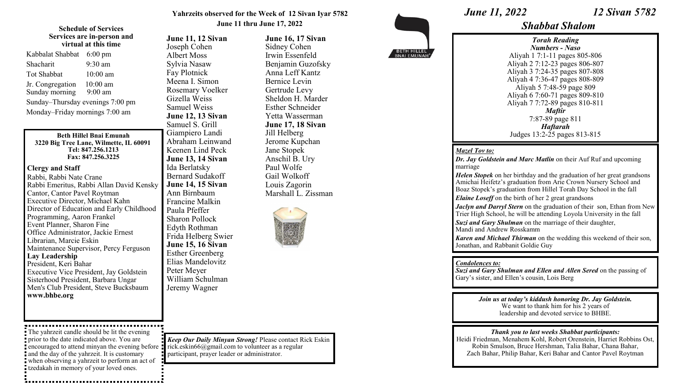## **Yahrzeits observed for the Week of 12 Sivan Iyar 5782 June 11 thru June 17, 2022**

## **Schedule of Services Services are in-person and virtual at this time**

| Kabbalat Shabbat                   | $6:00 \text{ pm}$       |
|------------------------------------|-------------------------|
| Shacharit                          | $9:30$ am               |
| Tot Shabbat                        | 10:00 am                |
| Jr. Congregation<br>Sunday morning | $10:00$ am<br>$9:00$ am |
| Sunday-Thursday evenings 7:00 pm   |                         |
| Monday-Friday mornings 7:00 am     |                         |

### **Beth Hillel Bnai Emunah 3220 Big Tree Lane, Wilmette, IL 60091 Tel: 847.256.1213 Fax: 847.256.3225**

## **Clergy and Staff**

Rabbi, Rabbi Nate Crane Rabbi Emeritus, Rabbi Allan David Kensky Cantor, Cantor Pavel Roytman Executive Director, Michael Kahn Director of Education and Early Childhood Programming, Aaron Frankel Event Planner, Sharon Fine Office Administrator, Jackie Ernest Librarian, Marcie Eskin Maintenance Supervisor, Percy Ferguson **Lay Leadership** President, Keri Bahar Executive Vice President, Jay Goldstein Sisterhood President, Barbara Ungar Men's Club President, Steve Bucksbaum **www.bhbe.org**

The yahrzeit candle should be lit the evening prior to the date indicated above. You are encouraged to attend minyan the evening before **:** rick.eskin66@gmail.com to volunteer as a regular and the day of the yahrzeit. It is customary when observing a yahrzeit to perform an act of tzedakah in memory of your loved ones.

**June 11, 12 Sivan** Joseph Cohen Albert Moss Sylvia Nasaw Fay Plotnick Meena I. Simon Rosemary Voelker Gizella Weiss Samuel Weiss **June 12, 13 Sivan** Samuel S. Grill Giampiero Landi Abraham Leinwand Keenen Lind Peck **June 13, 14 Sivan** Ida Berlatsky Bernard Sudakoff **June 14, 15 Sivan** Ann Birnbaum Francine Malkin Paula Pfeffer Sharon Pollock Edyth Rothman Frida Helberg Swier **June 15, 16 Sivan** Esther Greenberg Elias Mandelovitz Peter Meyer William Schulman Jeremy Wagner

*Keep Our Daily Minyan Strong!* Please contact Rick Eskin participant, prayer leader or administrator.

**June 16, 17 Sivan** Sidney Cohen Irwin Essenfeld Benjamin Guzofsky Anna Leff Kantz Bernice Levin Gertrude Levy Sheldon H. Marder Esther Schneider Yetta Wasserman **June 17, 18 Sivan** Jill Helberg Jerome Kupchan Jane Stopek Anschil B. Ury Paul Wolfe Gail Wolkoff Louis Zagorin



Marshall L. Zissman



*June 11, 2022 12 Sivan 5782* 

# *Shabbat Shalom*

*Torah Reading Numbers - Naso* Aliyah 1 7:1-11 pages 805-806 Aliyah 2 7:12-23 pages 806-807 Aliyah 3 7:24-35 pages 807-808 Aliyah 4 7:36-47 pages 808-809 Aliyah 5 7:48-59 page 809 Aliyah 6 7:60-71 pages 809-810 Aliyah 7 7:72-89 pages 810-811 *Maftir* 7:87-89 page 811 *Haftarah* Judges 13:2-25 pages 813-815

## *Mazel Tov to:*

*Dr. Jay Goldstein and Marc Matlin* on their Auf Ruf and upcoming marriage

*Helen Stopek* on her birthday and the graduation of her great grandsons Amichai Heifetz's graduation from Arie Crown Nursery School and Boaz Stopek's graduation from Hillel Torah Day School in the fall

*Elaine Loseff* on the birth of her 2 great grandsons

*Jaclyn and Darryl Stern* on the graduation of their son, Ethan from New Trier High School, he will be attending Loyola University in the fall

*Suzi and Gary Shulman* on the marriage of their daughter, Mandi and Andrew Rosskamm

*Karen and Michael Thirman* on the wedding this weekend of their son, Jonathan, and Rabbanit Goldie Guy

## *Condolences to:*

*Suzi and Gary Shulman and Ellen and Allen Sered* **on the passing of** Gary's sister, and Ellen's cousin, Lois Berg

> *Join us at today's kiddush honoring Dr. Jay Goldstein.*  We want to thank him for his 2 years of leadership and devoted service to BHBE.

*Thank you to last weeks Shabbat participants:*  Heidi Friedman, Menahem Kohl, Robert Orenstein, Harriet Robbins Ost, Robin Smulson, Bruce Hershman, Talia Bahar, Chana Bahar, Zach Bahar, Philip Bahar, Keri Bahar and Cantor Pavel Roytman